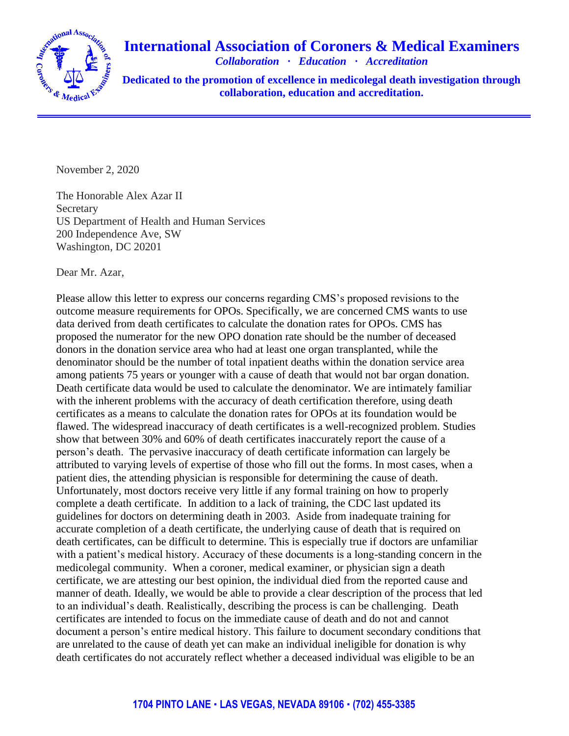

## **International Association of Coroners & Medical Examiners**

*Collaboration · Education · Accreditation*

**Dedicated to the promotion of excellence in medicolegal death investigation through collaboration, education and accreditation.**

November 2, 2020

The Honorable Alex Azar II **Secretary** US Department of Health and Human Services 200 Independence Ave, SW Washington, DC 20201

Dear Mr. Azar,

Please allow this letter to express our concerns regarding CMS's proposed revisions to the outcome measure requirements for OPOs. Specifically, we are concerned CMS wants to use data derived from death certificates to calculate the donation rates for OPOs. CMS has proposed the numerator for the new OPO donation rate should be the number of deceased donors in the donation service area who had at least one organ transplanted, while the denominator should be the number of total inpatient deaths within the donation service area among patients 75 years or younger with a cause of death that would not bar organ donation. Death certificate data would be used to calculate the denominator. We are intimately familiar with the inherent problems with the accuracy of death certification therefore, using death certificates as a means to calculate the donation rates for OPOs at its foundation would be flawed. The widespread inaccuracy of death certificates is a well-recognized problem. Studies show that between 30% and 60% of death certificates inaccurately report the cause of a person's death. The pervasive inaccuracy of death certificate information can largely be attributed to varying levels of expertise of those who fill out the forms. In most cases, when a patient dies, the attending physician is responsible for determining the cause of death. Unfortunately, most doctors receive very little if any formal training on how to properly complete a death certificate. In addition to a lack of training, the CDC last updated its guidelines for doctors on determining death in 2003. Aside from inadequate training for accurate completion of a death certificate, the underlying cause of death that is required on death certificates, can be difficult to determine. This is especially true if doctors are unfamiliar with a patient's medical history. Accuracy of these documents is a long-standing concern in the medicolegal community. When a coroner, medical examiner, or physician sign a death certificate, we are attesting our best opinion, the individual died from the reported cause and manner of death. Ideally, we would be able to provide a clear description of the process that led to an individual's death. Realistically, describing the process is can be challenging. Death certificates are intended to focus on the immediate cause of death and do not and cannot document a person's entire medical history. This failure to document secondary conditions that are unrelated to the cause of death yet can make an individual ineligible for donation is why death certificates do not accurately reflect whether a deceased individual was eligible to be an